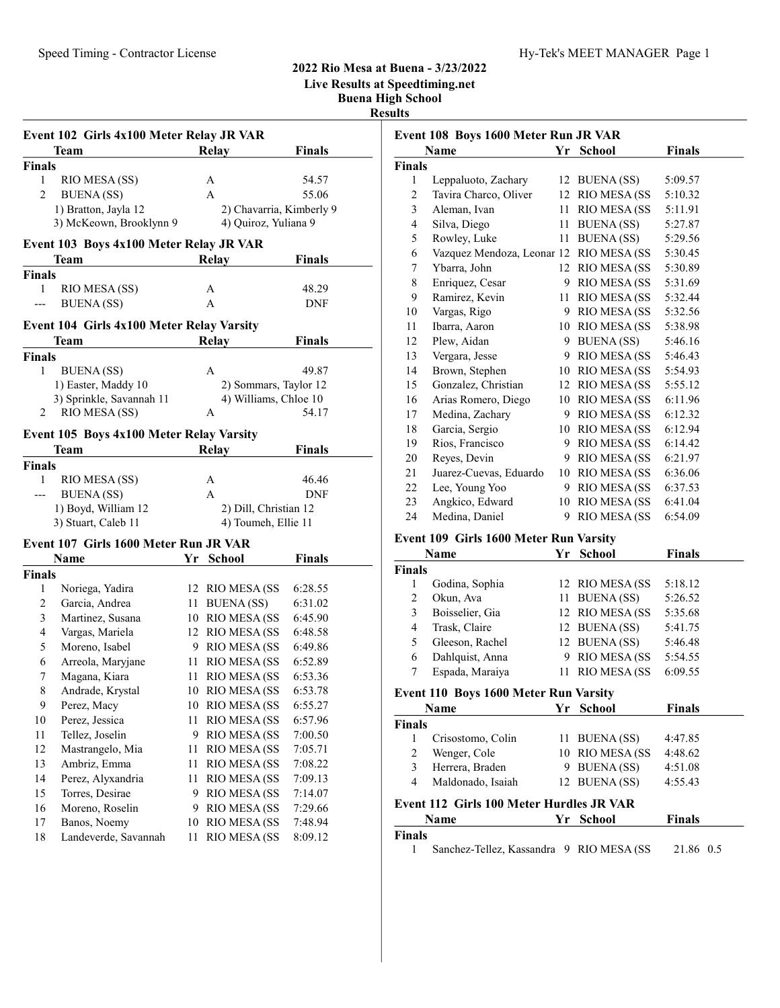# 2022 Rio Mesa at Buena - 3/23/2022

Live Results at Speedtiming.net

Buena High School

| <b>Results</b> |
|----------------|
|                |

|                    | Event 102 Girls 4x100 Meter Relay JR VAR  |            |                          |               |
|--------------------|-------------------------------------------|------------|--------------------------|---------------|
|                    | Team                                      |            | Relay                    | <b>Finals</b> |
| <b>Finals</b>      |                                           |            |                          |               |
| 1                  | RIO MESA (SS)                             |            | А                        | 54.57         |
| 2                  | <b>BUENA</b> (SS)                         |            | A                        | 55.06         |
|                    | 1) Bratton, Jayla 12                      |            | 2) Chavarria, Kimberly 9 |               |
|                    | 3) McKeown, Brooklynn 9                   |            | 4) Quiroz, Yuliana 9     |               |
|                    | Event 103 Boys 4x100 Meter Relay JR VAR   |            |                          |               |
|                    | Team                                      |            |                          | <b>Finals</b> |
|                    |                                           |            | Relay                    |               |
| <b>Finals</b><br>1 |                                           |            |                          |               |
|                    | RIO MESA (SS)                             |            | А<br>A                   | 48.29<br>DNF  |
|                    | <b>BUENA</b> (SS)                         |            |                          |               |
|                    | Event 104 Girls 4x100 Meter Relay Varsity |            |                          |               |
|                    | Team                                      |            | <b>Relay</b>             | <b>Finals</b> |
| <b>Finals</b>      |                                           |            |                          |               |
| 1                  | <b>BUENA</b> (SS)                         |            | А                        | 49.87         |
|                    | 1) Easter, Maddy 10                       |            | 2) Sommars, Taylor 12    |               |
|                    | 3) Sprinkle, Savannah 11                  |            | 4) Williams, Chloe 10    |               |
| 2                  | RIO MESA (SS)                             |            | A                        | 54.17         |
|                    | Event 105 Boys 4x100 Meter Relay Varsity  |            |                          |               |
|                    | Team                                      |            | <b>Relay</b>             | <b>Finals</b> |
| <b>Finals</b>      |                                           |            |                          |               |
| 1                  | RIO MESA (SS)                             |            | А                        | 46.46         |
| $---$              | <b>BUENA</b> (SS)                         |            | A                        | DNF           |
|                    | 1) Boyd, William 12                       |            | 2) Dill, Christian 12    |               |
|                    | 3) Stuart, Caleb 11                       |            | 4) Toumeh, Ellie 11      |               |
|                    |                                           |            |                          |               |
|                    | Event 107 Girls 1600 Meter Run JR VAR     |            |                          |               |
|                    | Name                                      | ${\bf Yr}$ | <b>School</b>            | <b>Finals</b> |
| <b>Finals</b>      |                                           |            |                          |               |
| 1                  | Noriega, Yadira                           |            | 12 RIO MESA (SS          | 6:28.55       |
| $\overline{c}$     | Garcia, Andrea                            |            | 11 BUENA (SS)            | 6:31.02       |
| 3                  | Martinez, Susana                          |            | 10 RIO MESA (SS          | 6:45.90       |
| 4                  | Vargas, Mariela                           |            | 12 RIO MESA (SS          | 6:48.58       |
| 5                  | Moreno, Isabel                            |            | 9 RIO MESA (SS           | 6:49.86       |
| 6                  | Arreola, Maryjane                         |            | 11 RIO MESA (SS          | 6:52.89       |
| 7                  | Magana, Kiara                             | 11         | <b>RIO MESA (SS</b>      | 6:53.36       |
| 8                  | Andrade, Krystal                          | 10         | RIO MESA (SS             | 6:53.78       |
| 9                  | Perez, Macy                               | 10         | RIO MESA (SS             | 6:55.27       |
| 10                 | Perez, Jessica                            | 11         | <b>RIO MESA (SS</b>      | 6:57.96       |
| 11                 | Tellez, Joselin                           | 9          | <b>RIO MESA (SS</b>      | 7:00.50       |
| 12                 | Mastrangelo, Mia                          | 11         | RIO MESA (SS             | 7:05.71       |
| 13                 | Ambriz, Emma                              | 11         | <b>RIO MESA (SS</b>      | 7:08.22       |
| 14                 | Perez, Alyxandria                         | 11         | <b>RIO MESA (SS</b>      | 7:09.13       |
| 15                 | Torres, Desirae                           | 9          | <b>RIO MESA (SS</b>      | 7:14.07       |
| 16                 | Moreno, Roselin                           | 9          | <b>RIO MESA (SS</b>      | 7:29.66       |
| 17                 | Banos, Noemy                              | 10         | RIO MESA (SS             | 7:48.94       |
| 18                 | Landeverde, Savannah                      | 11         | <b>RIO MESA (SS</b>      | 8:09.12       |
|                    |                                           |            |                          |               |

|                | Event 108 Boys 1600 Meter Run JR VAR |    |                      |               |
|----------------|--------------------------------------|----|----------------------|---------------|
|                | Name                                 | Yr | <b>School</b>        | <b>Finals</b> |
| <b>Finals</b>  |                                      |    |                      |               |
| 1              | Leppaluoto, Zachary                  |    | 12 BUENA (SS)        | 5:09.57       |
| $\overline{2}$ | Tavira Charco, Oliver                | 12 | RIO MESA (SS         | 5:10.32       |
| 3              | Aleman, Ivan                         | 11 | RIO MESA (SS         | 5:11.91       |
| $\overline{4}$ | Silva, Diego                         | 11 | <b>BUENA</b> (SS)    | 5:27.87       |
| 5              | Rowley, Luke                         | 11 | <b>BUENA</b> (SS)    | 5:29.56       |
| 6              | Vazquez Mendoza, Leonar 12           |    | RIO MESA (SS         | 5:30.45       |
| 7              | Ybarra, John                         | 12 | RIO MESA (SS         | 5:30.89       |
| 8              | Enriquez, Cesar                      | 9  | RIO MESA (SS         | 5:31.69       |
| 9              | Ramirez, Kevin                       | 11 | RIO MESA (SS         | 5:32.44       |
| 10             | Vargas, Rigo                         | 9  | RIO MESA (SS         | 5:32.56       |
| 11             | Ibarra, Aaron                        | 10 | RIO MESA (SS         | 5:38.98       |
| 12             | Plew, Aidan                          | 9  | <b>BUENA</b> (SS)    | 5:46.16       |
| 13             | Vergara, Jesse                       | 9  | RIO MESA (SS         | 5:46.43       |
| 14             | Brown, Stephen                       | 10 | RIO MESA (SS         | 5:54.93       |
| 15             | Gonzalez, Christian                  | 12 | RIO MESA (SS         | 5:55.12       |
| 16             | Arias Romero, Diego                  | 10 | RIO MESA (SS         | 6:11.96       |
| 17             | Medina, Zachary                      | 9  | <b>RIO MESA (SS</b>  | 6:12.32       |
| 18             | Garcia, Sergio                       | 10 | RIO MESA (SS         | 6:12.94       |
| 19             | Rios, Francisco                      | 9  | RIO MESA (SS         | 6:14.42       |
| 20             | Reyes, Devin                         | 9  | <b>RIO MESA (SS)</b> | 6:21.97       |
| 21             | Juarez-Cuevas, Eduardo               | 10 | RIO MESA (SS         | 6:36.06       |
| 22             | Lee, Young Yoo                       | 9  | RIO MESA (SS         | 6:37.53       |
| 23             | Angkico, Edward                      | 10 | RIO MESA (SS         | 6:41.04       |
| 24             | Medina, Daniel                       | 9  | RIO MESA (SS         | 6:54.09       |
|                |                                      |    |                      |               |

#### Event 109 Girls 1600 Meter Run Varsity

|               | Name            |   | Yr School           | Finals  |
|---------------|-----------------|---|---------------------|---------|
| <b>Finals</b> |                 |   |                     |         |
|               | Godina, Sophia  |   | 12 RIO MESA (SS     | 5:18.12 |
| 2             | Okun, Ava       |   | 11 BUENA (SS)       | 5:26.52 |
| 3             | Boisselier, Gia |   | 12 RIO MESA (SS     | 5:35.68 |
| 4             | Trask, Claire   |   | 12 BUENA (SS)       | 5:41.75 |
| 5             | Gleeson, Rachel |   | 12 BUENA (SS)       | 5:46.48 |
| 6             | Dahlquist, Anna | 9 | <b>RIO MESA (SS</b> | 5:54.55 |
| 7             | Espada, Maraiya |   | 11 RIO MESA (SS     | 6:09.55 |

|               | Name                                     | Yr School       | <b>Finals</b> |
|---------------|------------------------------------------|-----------------|---------------|
| <b>Finals</b> |                                          |                 |               |
|               | Crisostomo, Colin                        | 11 BUENA (SS)   | 4:47.85       |
| 2             | Wenger, Cole                             | 10 RIO MESA (SS | 4:48.62       |
| 3             | Herrera, Braden                          | 9 BUENA (SS)    | 4:51.08       |
| 4             | Maldonado, Isaiah                        | 12 BUENA (SS)   | 4:55.43       |
|               | Event 112 Girls 100 Meter Hurdles JR VAR |                 |               |
|               | Name                                     | Yr School       | <b>Finals</b> |
| <b>Finals</b> |                                          |                 |               |

1 21.86 0.5 Sanchez-Tellez, Kassandra 9 RIO MESA (SS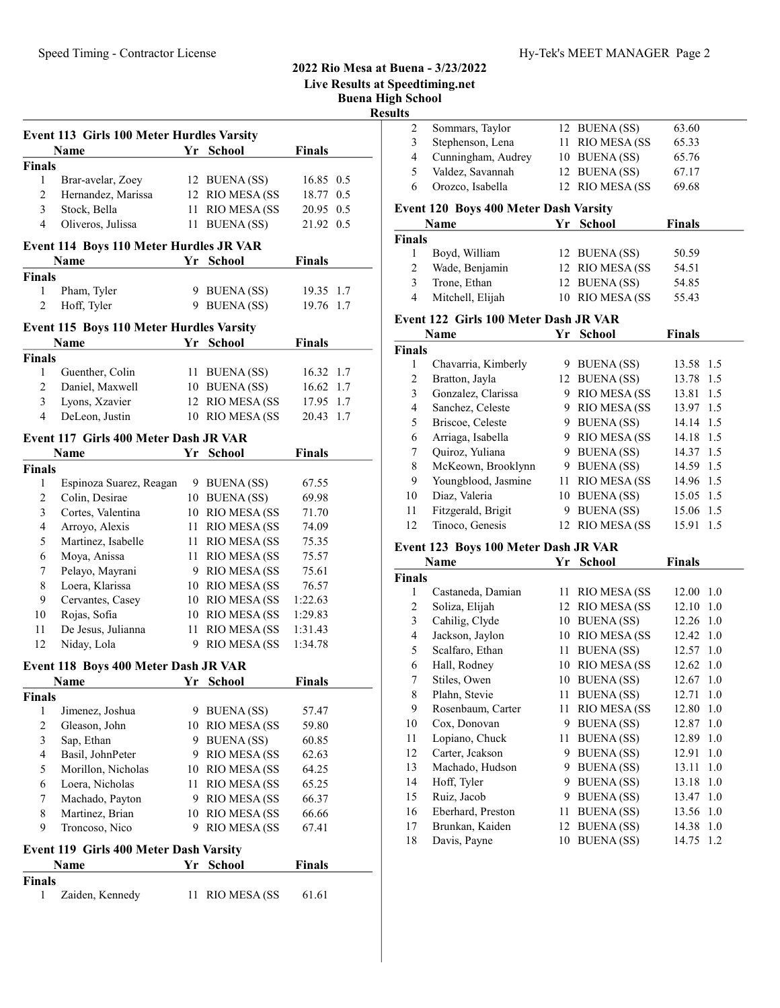#### Buena High School Results Event 113 Girls 100 Meter Hurdles Varsity Name **Finals Finals** Finals 1 Brar-avelar, Zoey 12 BUENA (SS) 16.85 0.5 2 Hernandez, Marissa 12 RIO MESA (SS 18.77 0.5 3 20.95 0.5 Stock, Bella 11 RIO MESA (SS 4 Oliveros, Julissa 11 BUENA (SS) 21.92 0.5 Event 114 Boys 110 Meter Hurdles JR VAR Name **Finals President School Finals** Finals 1 Pham, Tyler 9 BUENA (SS) 19.35 1.7 2 Hoff, Tyler 9 BUENA (SS) 19.76 1.7 Event 115 Boys 110 Meter Hurdles Varsity Name **Finals Property Property Property Property Property Property Property Property Property Property Property Property Property Property Property Property Property Property Property** Finals 1 Guenther, Colin 11 BUENA (SS) 16.32 1.7 2 Daniel, Maxwell 10 BUENA (SS) 16.62 1.7 3 Lyons, Xzavier 12 RIO MESA (SS 17.95 1.7 4 DeLeon, Justin 10 RIO MESA (SS 20.43 1.7 Event 117 Girls 400 Meter Dash JR VAR Name  $Yr$  School Finals Finals 1 Espinoza Suarez, Reagan 9 BUENA (SS) 67.55 2 Colin, Desirae 10 BUENA (SS) 69.98 3 Cortes, Valentina 10 RIO MESA (SS 71.70 4 Arroyo, Alexis 11 RIO MESA (SS 74.09 5 Martinez, Isabelle 11 RIO MESA (SS 75.35 6 Moya, Anissa 11 RIO MESA (SS 75.57 7 Pelayo, Mayrani 9 RIO MESA (SS 75.61 8 Loera, Klarissa 10 RIO MESA (SS 76.57 9 Cervantes, Casey 10 RIO MESA (SS 1:22.63) 10 Rojas, Sofia 10 RIO MESA (SS 1:29.83 11 De Jesus, Julianna 11 RIO MESA (SS 1:31.43 12 Niday, Lola 9 RIO MESA (SS 1:34.78 Event 118 Boys 400 Meter Dash JR VAR Name **Finals President School Finals** Finals 1 Jimenez, Joshua 9 BUENA (SS) 57.47 2 Gleason, John 10 RIO MESA (SS 59.80 3 Sap, Ethan 9 BUENA (SS) 60.85 4 Basil, JohnPeter 9 RIO MESA (SS 62.63 5 Morillon, Nicholas 10 RIO MESA (SS 64.25 6 65.25 Loera, Nicholas 11 RIO MESA (SS 7 Machado, Payton 9 RIO MESA (SS 66.37 8 Martinez, Brian 10 RIO MESA (SS 66.66 9 Troncoso, Nico 9 RIO MESA (SS 67.41) Event 119 Girls 400 Meter Dash Varsity Name  $Yr$  School Finals Finals 1 Zaiden, Kennedy 11 RIO MESA (SS 61.61)  $\overline{F}$  $\overline{F}$  $\mathbf{F}$

2022 Rio Mesa at Buena - 3/23/2022 Live Results at Speedtiming.net

| 2                       | Sommars, Taylor                              |    | 12 BUENA (SS)       | 63.60         |     |
|-------------------------|----------------------------------------------|----|---------------------|---------------|-----|
| 3                       | Stephenson, Lena                             | 11 | RIO MESA (SS        | 65.33         |     |
| $\overline{\mathbf{4}}$ | Cunningham, Audrey                           |    | 10 BUENA (SS)       | 65.76         |     |
| 5                       | Valdez, Savannah                             | 12 | <b>BUENA</b> (SS)   | 67.17         |     |
| 6                       | Orozco, Isabella                             | 12 | RIO MESA (SS        | 69.68         |     |
|                         | <b>Event 120 Boys 400 Meter Dash Varsity</b> |    |                     |               |     |
|                         | Name                                         | Yr | <b>School</b>       | <b>Finals</b> |     |
| Finals                  |                                              |    |                     |               |     |
| 1                       | Boyd, William                                |    | 12 BUENA (SS)       | 50.59         |     |
| $\overline{c}$          | Wade, Benjamin                               |    | 12 RIO MESA (SS     | 54.51         |     |
| 3                       | Trone, Ethan                                 |    | 12 BUENA (SS)       | 54.85         |     |
| $\overline{4}$          | Mitchell, Elijah                             | 10 | RIO MESA (SS        | 55.43         |     |
|                         |                                              |    |                     |               |     |
|                         | Event 122 Girls 100 Meter Dash JR VAR        |    |                     |               |     |
|                         | Name                                         | Yr | <b>School</b>       | <b>Finals</b> |     |
| Finals                  |                                              |    |                     |               |     |
| 1                       | Chavarria, Kimberly                          |    | 9 BUENA (SS)        | 13.58         | 1.5 |
| $\overline{c}$          | Bratton, Jayla                               | 12 | <b>BUENA</b> (SS)   | 13.78         | 1.5 |
| 3                       | Gonzalez, Clarissa                           |    | 9 RIO MESA (SS      | 13.81         | 1.5 |
| 4                       | Sanchez, Celeste                             |    | 9 RIO MESA (SS      | 13.97 1.5     |     |
| 5                       | Briscoe, Celeste                             |    | 9 BUENA (SS)        | 14.14 1.5     |     |
| 6                       | Arriaga, Isabella                            |    | 9 RIO MESA (SS      | 14.18 1.5     |     |
| 7                       | Quiroz, Yuliana                              |    | 9 BUENA(SS)         | 14.37 1.5     |     |
| 8                       | McKeown, Brooklynn                           |    | 9 BUENA (SS)        | 14.59 1.5     |     |
| 9                       | Youngblood, Jasmine                          |    | 11 RIO MESA (SS     | 14.96 1.5     |     |
| 10                      | Diaz, Valeria                                |    | 10 BUENA (SS)       | 15.05 1.5     |     |
| 11                      | Fitzgerald, Brigit                           | 9  | <b>BUENA(SS)</b>    | 15.06 1.5     |     |
| 12                      | Tinoco, Genesis                              | 12 | RIO MESA (SS        | 15.91         | 1.5 |
|                         | Event 123 Boys 100 Meter Dash JR VAR         |    |                     |               |     |
|                         | Name                                         | Yr | <b>School</b>       | <b>Finals</b> |     |
| Finals                  |                                              |    |                     |               |     |
| 1                       | Castaneda, Damian                            | 11 | <b>RIO MESA (SS</b> | 12.00         | 1.0 |
| $\boldsymbol{2}$        | Soliza, Elijah                               |    | 12 RIO MESA (SS     | 12.10         | 1.0 |
| 3                       | Cahilig, Clyde                               |    | 10 BUENA (SS)       | 12.26 1.0     |     |
| $\overline{\mathbf{4}}$ | Jackson, Jaylon                              |    | 10 RIO MESA (SS     | 12.42 1.0     |     |
| 5                       | Scalfaro, Ethan                              | 11 | <b>BUENA</b> (SS)   | 12.57 1.0     |     |
| 6                       | Hall, Rodney                                 |    | 10 RIO MESA (SS     | 12.62         | 1.0 |
| 7                       | Stiles, Owen                                 | 10 | <b>BUENA</b> (SS)   | 12.67         | 1.0 |
| 8                       | Plahn, Stevie                                | 11 | <b>BUENA</b> (SS)   | 12.71         | 1.0 |
| 9                       | Rosenbaum, Carter                            | 11 | RIO MESA (SS        | 12.80         | 1.0 |
| 10                      | Cox, Donovan                                 | 9  | <b>BUENA</b> (SS)   | 12.87         | 1.0 |
| 11                      | Lopiano, Chuck                               | 11 | <b>BUENA</b> (SS)   | 12.89         | 1.0 |
| 12                      | Carter, Jeakson                              | 9  | <b>BUENA</b> (SS)   | 12.91         | 1.0 |
| 13                      | Machado, Hudson                              | 9. | <b>BUENA</b> (SS)   | 13.11         | 1.0 |
| 14                      | Hoff, Tyler                                  | 9  | <b>BUENA</b> (SS)   | 13.18         | 1.0 |
| 15                      | Ruiz, Jacob                                  | 9  | <b>BUENA</b> (SS)   | 13.47         | 1.0 |
| 16                      | Eberhard, Preston                            | 11 | <b>BUENA</b> (SS)   | 13.56         | 1.0 |
| 17                      | Brunkan, Kaiden                              | 12 | <b>BUENA</b> (SS)   | 14.38         | 1.0 |
| 18                      | Davis, Payne                                 | 10 | <b>BUENA</b> (SS)   | 14.75 1.2     |     |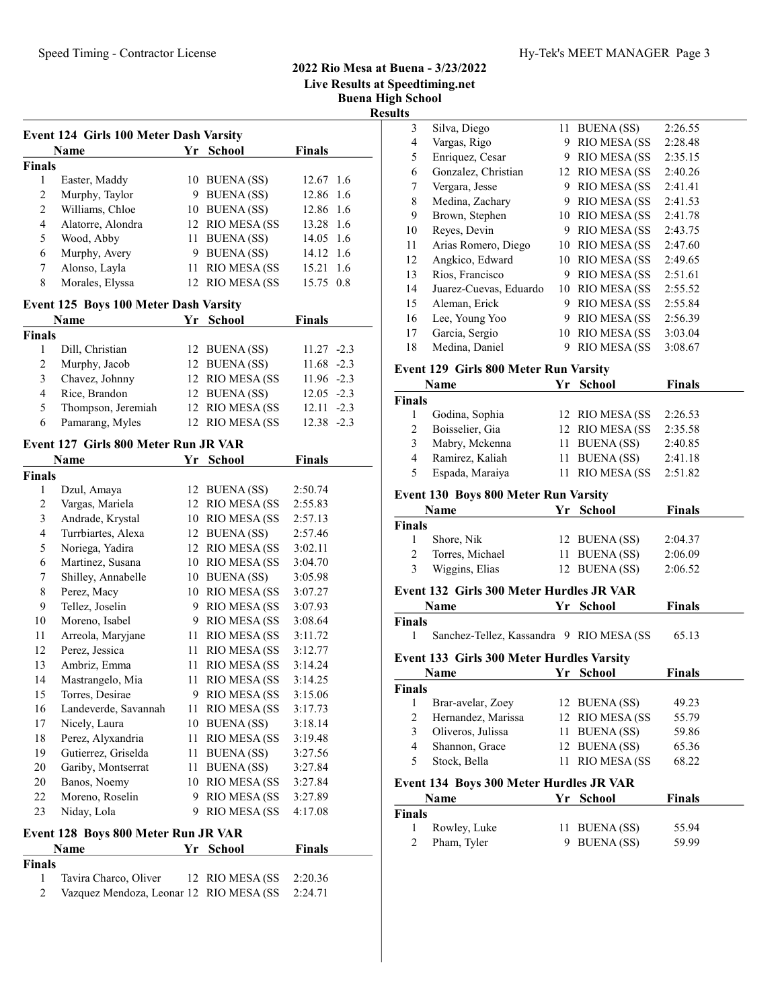# 2022 Rio Mesa at Buena - 3/23/2022 Live Results at Speedtiming.net Buena High School

|                |                                        |    |                     |               | висна підп ∪<br><b>Results</b> |
|----------------|----------------------------------------|----|---------------------|---------------|--------------------------------|
|                | Event 124 Girls 100 Meter Dash Varsity |    |                     |               |                                |
|                | Name                                   |    | Yr School           | Finals        |                                |
| <b>Finals</b>  |                                        |    |                     |               |                                |
| 1              | Easter, Maddy                          |    | 10 BUENA (SS)       | 12.67 1.6     |                                |
| $\sqrt{2}$     | Murphy, Taylor                         |    | 9 BUENA (SS)        | 12.86 1.6     |                                |
| $\overline{c}$ | Williams, Chloe                        |    | 10 BUENA (SS)       | 12.86 1.6     |                                |
| $\overline{4}$ | Alatorre, Alondra                      |    | 12 RIO MESA (SS     | 13.28 1.6     |                                |
| 5              | Wood, Abby                             |    | 11 BUENA (SS)       | 14.05 1.6     |                                |
| 6              | Murphy, Avery                          |    | 9 BUENA (SS)        | 14.12 1.6     |                                |
| 7              | Alonso, Layla                          |    | 11 RIO MESA (SS     | 15.21 1.6     |                                |
| $\,$ 8 $\,$    | Morales, Elyssa                        |    | 12 RIO MESA (SS     | 15.75 0.8     |                                |
|                | Event 125 Boys 100 Meter Dash Varsity  |    |                     |               |                                |
|                | Name                                   |    | Yr School           | <b>Finals</b> |                                |
| <b>Finals</b>  |                                        |    |                     |               |                                |
| 1              | Dill, Christian                        |    | 12 BUENA (SS)       | $11.27 -2.3$  |                                |
| $\overline{c}$ | Murphy, Jacob                          |    | 12 BUENA (SS)       | $11.68 - 2.3$ | $E$ v                          |
| 3              | Chavez, Johnny                         |    | 12 RIO MESA (SS     | $11.96 -2.3$  |                                |
| $\overline{4}$ | Rice, Brandon                          |    | 12 BUENA (SS)       | $12.05 -2.3$  | Fin                            |
| 5              | Thompson, Jeremiah                     |    | 12 RIO MESA (SS     | $12.11 - 2.3$ |                                |
| 6              | Pamarang, Myles                        |    | 12 RIO MESA (SS     | $12.38 - 2.3$ |                                |
|                | Event 127 Girls 800 Meter Run JR VAR   |    |                     |               |                                |
|                | <b>Name</b>                            | Yr | <b>School</b>       | <b>Finals</b> |                                |
| <b>Finals</b>  |                                        |    |                     |               |                                |
| 1              | Dzul, Amaya                            |    | 12 BUENA (SS)       | 2:50.74       | Ev(                            |
| $\mathfrak{2}$ | Vargas, Mariela                        |    | 12 RIO MESA (SS     | 2:55.83       |                                |
| 3              | Andrade, Krystal                       |    | 10 RIO MESA (SS     | 2:57.13       | Fin                            |
| 4              | Turrbiartes, Alexa                     |    | 12 BUENA (SS)       | 2:57.46       |                                |
| 5              | Noriega, Yadira                        |    | 12 RIO MESA (SS     | 3:02.11       |                                |
| 6              | Martinez, Susana                       |    | 10 RIO MESA (SS)    | 3:04.70       |                                |
| 7              | Shilley, Annabelle                     |    | 10 BUENA (SS)       | 3:05.98       |                                |
| 8              | Perez, Macy                            |    | 10 RIO MESA (SS     | 3:07.27       | $E$ v                          |
| 9              | Tellez, Joselin                        |    | 9 RIO MESA (SS      | 3:07.93       |                                |
| 10             | Moreno, Isabel                         |    | 9 RIO MESA (SS      | 3:08.64       | Fin                            |
| 11             | Arreola, Maryjane                      |    | 11 RIO MESA (SS     | 3:11.72       |                                |
| 12             | Perez, Jessica                         |    | 11 RIO MESA (SS     | 3:12.77       |                                |
| 13             | Ambriz, Emma                           | 11 | <b>RIO MESA (SS</b> | 3:14.24       | Ev                             |
| 14             | Mastrangelo, Mia                       |    | 11 RIO MESA (SS     | 3:14.25       |                                |
| 15             | Torres, Desirae                        | 9. | <b>RIO MESA (SS</b> | 3:15.06       | Fin                            |
| 16             | Landeverde, Savannah                   | 11 | <b>RIO MESA (SS</b> | 3:17.73       |                                |
| 17             | Nicely, Laura                          | 10 | <b>BUENA</b> (SS)   | 3:18.14       |                                |
| 18             | Perez, Alyxandria                      | 11 | <b>RIO MESA (SS</b> | 3:19.48       |                                |
| 19             | Gutierrez, Griselda                    | 11 | <b>BUENA</b> (SS)   | 3:27.56       |                                |
| 20             | Gariby, Montserrat                     | 11 | <b>BUENA</b> (SS)   | 3:27.84       |                                |
| 20             | Banos, Noemy                           | 10 | <b>RIO MESA (SS</b> | 3:27.84       | Ev                             |

### Event 128 Boys 800 Meter Run JR VAR

|               | <b>Name</b>                                     | Yr School | <b>Finals</b> |
|---------------|-------------------------------------------------|-----------|---------------|
| <b>Finals</b> |                                                 |           |               |
| $\mathbf{1}$  | Tavira Charco, Oliver 12 RIO MESA (SS 2:20.36   |           |               |
| 2             | Vazquez Mendoza, Leonar 12 RIO MESA (SS 2:24.71 |           |               |

22 Moreno, Roselin 9 RIO MESA (SS 3:27.89 23 Niday, Lola 9 RIO MESA (SS 4:17.08

| н эсноог |                                       |      |              |         |  |
|----------|---------------------------------------|------|--------------|---------|--|
| ılts     |                                       |      |              |         |  |
| 3        | Silva, Diego                          | 11   | BUENA (SS)   | 2:26.55 |  |
| 4        | Vargas, Rigo                          | 9    | RIO MESA (SS | 2:28.48 |  |
| 5        | Enriquez, Cesar                       | 9    | RIO MESA (SS | 2:35.15 |  |
| 6        | Gonzalez, Christian                   | 12   | RIO MESA (SS | 2:40.26 |  |
| 7        | Vergara, Jesse                        | 9    | RIO MESA (SS | 2:41.41 |  |
| 8        | Medina, Zachary                       | 9    | RIO MESA (SS | 2:41.53 |  |
| 9        | Brown, Stephen                        | 10   | RIO MESA (SS | 2:41.78 |  |
| 10       | Reyes, Devin                          | 9    | RIO MESA (SS | 2:43.75 |  |
| 11       | Arias Romero, Diego                   | 10   | RIO MESA (SS | 2:47.60 |  |
| 12       | Angkico, Edward                       | 10   | RIO MESA (SS | 2:49.65 |  |
| 13       | Rios, Francisco                       | 9    | RIO MESA (SS | 2:51.61 |  |
| 14       | Juarez-Cuevas, Eduardo                | 10   | RIO MESA (SS | 2:55.52 |  |
| 15       | Aleman, Erick                         | 9    | RIO MESA (SS | 2:55.84 |  |
| 16       | Lee, Young Yoo                        | 9    | RIO MESA (SS | 2:56.39 |  |
| 17       | Garcia, Sergio                        | 10   | RIO MESA (SS | 3:03.04 |  |
| 18       | Medina, Daniel                        | 9    | RIO MESA (SS | 3:08.67 |  |
|          | Event 129 Girls 800 Meter Run Varsity |      |              |         |  |
|          | Name                                  | Vr - | School       | Finale  |  |

|             | <b>Name</b>     | Yr School        | <b>Finals</b> |  |
|-------------|-----------------|------------------|---------------|--|
| Finals      |                 |                  |               |  |
|             | Godina, Sophia  | 12 RIO MESA (SS) | 2:26.53       |  |
| $2^{\circ}$ | Boisselier, Gia | 12 RIO MESA (SS  | 2:35.58       |  |
| 3           | Mabry, Mckenna  | 11 BUENA (SS)    | 2:40.85       |  |
| 4           | Ramirez, Kaliah | 11 BUENA (SS)    | 2:41.18       |  |

# 5 2:51.82 Espada, Maraiya 11 RIO MESA (SS

#### vent 130 Boys 800 Meter Run Varsity

| Name            | Yr School | <b>Finals</b>                                   |
|-----------------|-----------|-------------------------------------------------|
|                 |           |                                                 |
| Shore, Nik      |           | 2:04.37                                         |
| Torres, Michael |           | 2:06.09                                         |
| Wiggins, Elias  |           | 2:06.52                                         |
|                 |           | 12 BUENA (SS)<br>11 BUENA (SS)<br>12 BUENA (SS) |

# Name Yr School Finals inals 1 65.13 Sanchez-Tellez, Kassandra 9 RIO MESA (SS Event 133 Girls 300 Meter Hurdles Varsity

|        | <b>Name</b>        | Yr School       | <b>Finals</b> |
|--------|--------------------|-----------------|---------------|
| Finals |                    |                 |               |
|        | Brar-avelar, Zoey  | 12 BUENA (SS)   | 49.23         |
|        | Hernandez, Marissa | 12 RIO MESA (SS | 55.79         |
| 3      | Oliveros, Julissa  | 11 BUENA (SS)   | 59.86         |
| 4      | Shannon, Grace     | 12 BUENA (SS)   | 65.36         |
| 5      | Stock, Bella       | 11 RIO MESA (SS | 68.22         |

|        | <b>Name</b>  | Yr School     | <b>Finals</b> |  |
|--------|--------------|---------------|---------------|--|
| Finals |              |               |               |  |
|        | Rowley, Luke | 11 BUENA (SS) | 55.94         |  |
|        | Pham, Tyler  | 9 BUENA (SS)  | 59.99         |  |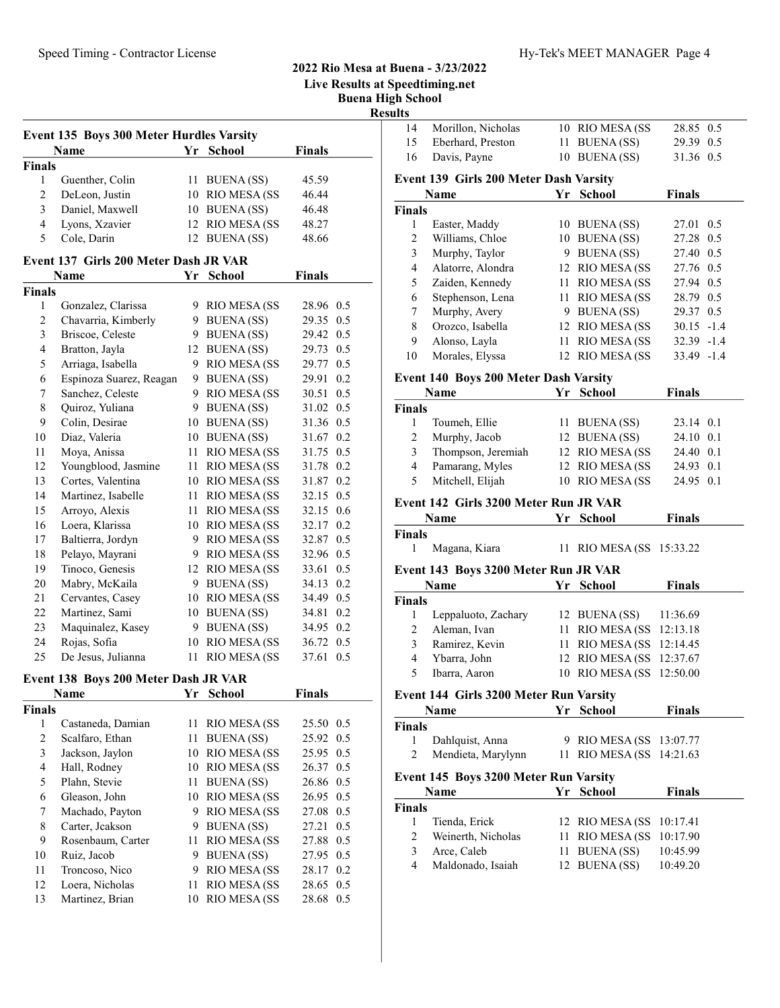# 2022 Rio Mesa at Buena - 3/23/2022

Live Results at Speedtiming.net

Buena High School

|                  |                                          |              |                                 |                        | рисна під<br><b>Results</b>    |                                        |                                                      |               |  |
|------------------|------------------------------------------|--------------|---------------------------------|------------------------|--------------------------------|----------------------------------------|------------------------------------------------------|---------------|--|
|                  | Event 135 Boys 300 Meter Hurdles Varsity |              |                                 |                        | 14                             | Morillon, Nicholas                     | 10 RIO MESA (SS                                      | 28.85 0.5     |  |
|                  | Name                                     |              | Yr School                       | <b>Finals</b>          | 15                             | Eberhard, Preston                      | 11 BUENA (SS)                                        | 29.39 0.5     |  |
| <b>Finals</b>    |                                          |              |                                 |                        | 16                             | Davis, Payne                           | 10 BUENA (SS)                                        | 31.36 0.5     |  |
| 1                | Guenther, Colin                          |              | 11 BUENA (SS)                   | 45.59                  |                                | Event 139 Girls 200 Meter Dash Varsity |                                                      |               |  |
| $\boldsymbol{2}$ | DeLeon, Justin                           |              | 10 RIO MESA (SS                 | 46.44                  |                                | Name                                   | Yr School                                            | <b>Finals</b> |  |
| 3                | Daniel, Maxwell                          |              | 10 BUENA (SS)                   | 46.48                  | Finals                         |                                        |                                                      |               |  |
| 4                | Lyons, Xzavier                           |              | 12 RIO MESA (SS                 | 48.27                  | $\mathbf{1}$                   | Easter, Maddy                          | 10 BUENA (SS)                                        | 27.01 0.5     |  |
| 5                | Cole, Darin                              |              | 12 BUENA (SS)                   | 48.66                  | $\overline{2}$                 | Williams, Chloe                        | 10 BUENA (SS)                                        | 27.28 0.5     |  |
|                  |                                          |              |                                 |                        | 3                              | Murphy, Taylor                         | 9 BUENA (SS)                                         | 27.40 0.5     |  |
|                  | Event 137 Girls 200 Meter Dash JR VAR    |              |                                 |                        | 4                              | Alatorre, Alondra                      | 12 RIO MESA (SS                                      | 27.76 0.5     |  |
|                  | Name                                     |              | Yr School                       | <b>Finals</b>          | 5                              | Zaiden, Kennedy                        | 11 RIO MESA (SS                                      | 27.94 0.5     |  |
| Finals           |                                          |              |                                 |                        | 6                              | Stephenson, Lena                       | 11 RIO MESA (SS                                      | 28.79 0.5     |  |
| 1                | Gonzalez, Clarissa                       |              | 9 RIO MESA (SS                  | 28.96 0.5              | 7                              | Murphy, Avery                          | 9 BUENA (SS)                                         | 29.37 0.5     |  |
| $\overline{c}$   | Chavarria, Kimberly                      | 9.           | <b>BUENA</b> (SS)               | 29.35 0.5              | 8                              | Orozco, Isabella                       | 12 RIO MESA (SS                                      | $30.15 - 1.4$ |  |
| 3                | Briscoe, Celeste                         | 9.           | <b>BUENA</b> (SS)               | 29.42 0.5              | 9                              | Alonso, Layla                          | 11 RIO MESA (SS                                      | $32.39 - 1.4$ |  |
| 4                | Bratton, Jayla                           |              | 12 BUENA (SS)                   | 29.73 0.5              | 10                             | Morales, Elyssa                        | 12 RIO MESA (SS                                      | 33.49 -1.4    |  |
| 5                | Arriaga, Isabella                        |              | 9 RIO MESA (SS                  | 29.77 0.5              |                                |                                        |                                                      |               |  |
| 6                | Espinoza Suarez, Reagan                  |              | 9 BUENA (SS)                    | 29.91 0.2              |                                | Event 140 Boys 200 Meter Dash Varsity  |                                                      |               |  |
| 7                | Sanchez, Celeste                         |              | 9 RIO MESA (SS                  | 30.51 0.5              |                                | Name                                   | Yr School                                            | <b>Finals</b> |  |
| 8                | Quiroz, Yuliana                          |              | 9 BUENA (SS)                    | 31.02 0.5              | Finals                         |                                        |                                                      |               |  |
| 9                | Colin, Desirae                           |              | 10 BUENA (SS)                   | 31.36 0.5              | $\mathbf{1}$                   | Toumeh, Ellie                          | 11 BUENA (SS)                                        | 23.14 0.1     |  |
| 10               | Diaz, Valeria                            |              | 10 BUENA (SS)                   | 31.67 0.2              | $\overline{2}$                 | Murphy, Jacob                          | 12 BUENA (SS)                                        | 24.10 0.1     |  |
| 11               | Moya, Anissa                             |              | 11 RIO MESA (SS                 | 31.75 0.5              | 3                              | Thompson, Jeremiah                     | 12 RIO MESA (SS                                      | 24.40 0.1     |  |
| 12               | Youngblood, Jasmine                      |              | 11 RIO MESA (SS                 | 31.78 0.2              | 4                              | Pamarang, Myles                        | 12 RIO MESA (SS                                      | 24.93 0.1     |  |
| 13               | Cortes, Valentina                        |              | 10 RIO MESA (SS                 | 31.87 0.2              | 5                              | Mitchell, Elijah                       | 10 RIO MESA (SS                                      | 24.95 0.1     |  |
| 14               | Martinez, Isabelle                       | 11           | <b>RIO MESA (SS</b>             | 32.15 0.5              |                                | Event 142 Girls 3200 Meter Run JR VAR  |                                                      |               |  |
| 15               | Arroyo, Alexis                           | 11           | <b>RIO MESA (SS</b>             | 32.15 0.6              |                                | Name                                   | Yr School                                            | <b>Finals</b> |  |
| 16<br>17         | Loera, Klarissa<br>Baltierra, Jordyn     |              | 10 RIO MESA (SS<br>RIO MESA (SS | 32.17 0.2<br>32.87 0.5 | Finals                         |                                        |                                                      |               |  |
| 18               | Pelayo, Mayrani                          | 9.           | <b>RIO MESA (SS</b>             | 32.96 0.5              | 1                              | Magana, Kiara                          | 11 RIO MESA (SS 15:33.22)                            |               |  |
| 19               | Tinoco, Genesis                          | 9.           | 12 RIO MESA (SS                 | 33.61 0.5              |                                |                                        |                                                      |               |  |
| 20               | Mabry, McKaila                           | 9            | <b>BUENA</b> (SS)               | 34.13 0.2              |                                | Event 143 Boys 3200 Meter Run JR VAR   |                                                      |               |  |
| 21               | Cervantes, Casey                         |              | 10 RIO MESA (SS                 | 34.49 0.5              |                                | Name                                   | Yr School                                            | <b>Finals</b> |  |
| 22               | Martinez, Sami                           |              | 10 BUENA (SS)                   | 34.81 0.2              | <b>Finals</b>                  |                                        |                                                      |               |  |
| 23               | Maquinalez, Kasey                        | 9            | <b>BUENA</b> (SS)               | 34.95 0.2              | 1                              | Leppaluoto, Zachary                    | 12 BUENA (SS)                                        | 11:36.69      |  |
| 24               | Rojas, Sofia                             | 10           | RIO MESA (SS                    | 36.72 0.5              | $\overline{2}$                 | Aleman, Ivan<br>Ramirez, Kevin         | 11 RIO MESA (SS 12:13.18                             |               |  |
| 25               | De Jesus, Julianna                       | 11           | <b>RIO MESA (SS</b>             | 37.61 0.5              | 3                              |                                        | 11 RIO MESA (SS 12:14.45                             |               |  |
|                  |                                          |              |                                 |                        | 4                              | Ybarra, John                           | 12 RIO MESA (SS 12:37.67<br>10 RIO MESA (SS 12:50.00 |               |  |
|                  | Event 138 Boys 200 Meter Dash JR VAR     |              |                                 |                        | 5                              | Ibarra, Aaron                          |                                                      |               |  |
|                  | Name                                     |              | Yr School                       | <b>Finals</b>          |                                | Event 144 Girls 3200 Meter Run Varsity |                                                      |               |  |
| Finals           |                                          |              |                                 |                        |                                | Name                                   | Yr School                                            | <b>Finals</b> |  |
| $\mathbf{1}$     | Castaneda, Damian                        |              | 11 RIO MESA (SS                 | 25.50 0.5              | <b>Finals</b>                  |                                        |                                                      |               |  |
| 2                | Scalfaro, Ethan                          | 11.          | <b>BUENA</b> (SS)               | 25.92 0.5              | $\mathbf{1}$                   | Dahlquist, Anna                        | 9 RIO MESA (SS 13:07.77                              |               |  |
| 3                | Jackson, Jaylon                          |              | 10 RIO MESA (SS                 | 25.95 0.5              | 2                              | Mendieta, Marylynn                     | 11 RIO MESA (SS 14:21.63                             |               |  |
| 4                | Hall, Rodney                             | 10           | <b>RIO MESA (SS</b>             | 26.37 0.5              |                                | Event 145 Boys 3200 Meter Run Varsity  |                                                      |               |  |
| 5                | Plahn, Stevie                            | $11^{\circ}$ | <b>BUENA</b> (SS)               | 26.86 0.5              |                                | Name                                   | Yr School                                            | <b>Finals</b> |  |
| 6                | Gleason, John                            |              | 10 RIO MESA (SS                 | 26.95 0.5              | Finals                         |                                        |                                                      |               |  |
| 7                | Machado, Payton                          | 9.           | <b>RIO MESA (SS</b>             | 27.08 0.5              |                                |                                        |                                                      |               |  |
| 8                | Carter, Jeakson                          | 9            | <b>BUENA</b> (SS)               | 27.21 0.5              | $\mathbf{1}$<br>$\overline{c}$ | Tienda, Erick<br>Weinerth, Nicholas    | 12 RIO MESA (SS 10:17.41                             |               |  |
| 9                | Rosenbaum, Carter                        |              | 11 RIO MESA (SS                 | 27.88 0.5              |                                | Arce, Caleb                            | 11 RIO MESA (SS 10:17.90                             |               |  |
| 10               | Ruiz, Jacob                              | 9.           | <b>BUENA</b> (SS)               | 27.95 0.5              | 3<br>4                         | Maldonado, Isaiah                      | 11 BUENA (SS)<br>12 BUENA (SS)                       | 10:45.99      |  |
| 11               | Troncoso, Nico                           | 9            | <b>RIO MESA (SS</b>             | 28.17 0.2              |                                |                                        |                                                      | 10:49.20      |  |
| 12               | Loera, Nicholas                          | 11           | <b>RIO MESA (SS</b>             | 28.65 0.5              |                                |                                        |                                                      |               |  |
| 13               | Martinez, Brian                          |              | 10 RIO MESA (SS                 | 28.68 0.5              |                                |                                        |                                                      |               |  |

| $\mathbf{1}$   | Easter, Maddy                         |    | 10 BUENA (SS)     | 27.01         | 0.5 |
|----------------|---------------------------------------|----|-------------------|---------------|-----|
| $\overline{c}$ | Williams, Chloe                       |    | 10 BUENA (SS)     | 27.28         | 0.5 |
| 3              | Murphy, Taylor                        | 9  | <b>BUENA</b> (SS) | 27.40         | 0.5 |
| 4              | Alatorre, Alondra                     | 12 | RIO MESA (SS      | 27.76 0.5     |     |
| 5              | Zaiden, Kennedy                       | 11 | RIO MESA (SS      | 27.94 0.5     |     |
| 6              | Stephenson, Lena                      | 11 | RIO MESA (SS      | 28.79 0.5     |     |
| 7              | Murphy, Avery                         | 9  | BUENA (SS)        | 29.37 0.5     |     |
| 8              | Orozco, Isabella                      | 12 | RIO MESA (SS      | $30.15 - 1.4$ |     |
| 9              | Alonso, Layla                         | 11 | RIO MESA (SS      | $32.39 - 1.4$ |     |
| 10             | Morales, Elyssa                       |    | 12 RIO MESA (SS)  | 33.49 -1.4    |     |
|                | Event 140 Boys 200 Meter Dash Varsity |    |                   |               |     |
|                | <b>Name</b>                           |    | Yr School         | <b>Finals</b> |     |
| <b>Finals</b>  |                                       |    |                   |               |     |
| 1              | Toumeh, Ellie                         | 11 | <b>BUENA</b> (SS) | 23.14 0.1     |     |
| $\overline{c}$ | Murphy, Jacob                         | 12 | BUENA (SS)        | 24.10         | 0.1 |
| 3              | Thompson, Jeremiah                    |    | 12 RIO MESA (SS   | 24.40 0.1     |     |
| $\overline{4}$ | Pamarang, Myles                       | 12 | RIO MESA (SS      | 24.93 0.1     |     |
| 5              | Mitchell, Elijah                      |    | 10 RIO MESA (SS   | 24.95 0.1     |     |
|                | Event 142 Girls 3200 Meter Run JR VAR |    |                   |               |     |
|                | Name                                  | Yr | <b>School</b>     | <b>Finals</b> |     |
| <b>Finals</b>  |                                       |    |                   |               |     |
| 1              | Magana, Kiara                         | 11 | RIO MESA (SS      | 15:33.22      |     |
|                | Event 143 Boys 3200 Meter Run JR VAR  |    |                   |               |     |
|                | <b>Name</b>                           | Yr | <b>School</b>     | <b>Finals</b> |     |
| <b>Finals</b>  |                                       |    |                   |               |     |
| 1              | Leppaluoto, Zachary                   |    | 12 BUENA (SS)     | 11:36.69      |     |
| $\overline{2}$ | Aleman, Ivan                          | 11 | RIO MESA (SS      | 12:13.18      |     |

|               | EVEIR 144 GILD 3200 METER KUIL VALSILV |                           |               |  |
|---------------|----------------------------------------|---------------------------|---------------|--|
|               | Name                                   | Yr School                 | <b>Finals</b> |  |
| <b>Finals</b> |                                        |                           |               |  |
| l             | Dahlquist, Anna                        | 9 RIO MESA (SS 13:07.77   |               |  |
| 2             | Mendieta, Marylynn                     | 11 RIO MESA (SS 14:21.63  |               |  |
|               | Event 145 Boys 3200 Meter Run Varsity  |                           |               |  |
|               | Name                                   | Yr School                 | <b>Finals</b> |  |
| <b>Finals</b> |                                        |                           |               |  |
| 1             | Tienda, Erick                          | 12 RIO MESA (SS 10:17.41) |               |  |
| 2             | Weinerth, Nicholas                     | 11 RIO MESA (SS 10:17.90  |               |  |
| 3             | Arce, Caleb                            | 11 BUENA (SS)             | 10:45.99      |  |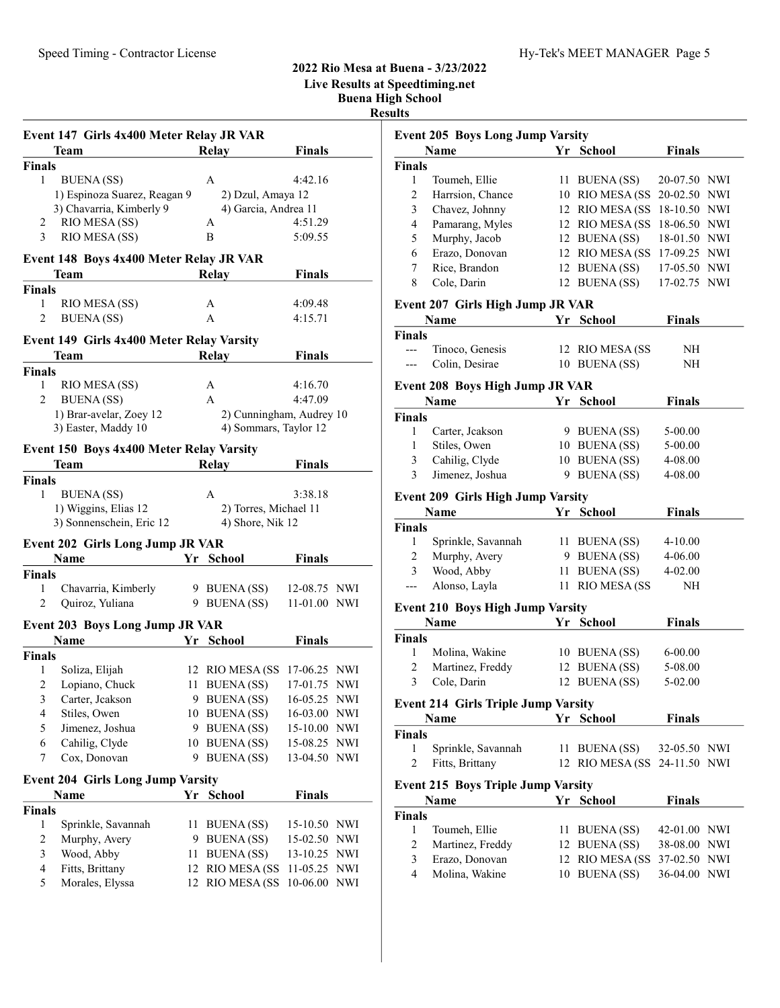2022 Rio Mesa at Buena - 3/23/2022

Live Results at Speedtiming.net Buena High School Results

|                         | Event 147 Girls 4x400 Meter Relay JR VAR<br>Team |    | Relay                    | <b>Finals</b> |                           |
|-------------------------|--------------------------------------------------|----|--------------------------|---------------|---------------------------|
| <b>Finals</b>           |                                                  |    |                          |               |                           |
| 1                       | <b>BUENA</b> (SS)                                |    | A                        | 4:42.16       |                           |
|                         | 1) Espinoza Suarez, Reagan 9                     |    | 2) Dzul, Amaya 12        |               |                           |
|                         | 3) Chavarria, Kimberly 9                         |    | 4) Garcia, Andrea 11     |               |                           |
| 2                       | RIO MESA (SS)                                    |    | А                        | 4:51.29       |                           |
| 3                       | RIO MESA (SS)                                    |    | B                        | 5:09.55       |                           |
|                         |                                                  |    |                          |               |                           |
|                         | Event 148 Boys 4x400 Meter Relay JR VAR          |    |                          |               |                           |
|                         | Team                                             |    | <b>Relay</b>             | <b>Finals</b> |                           |
| <b>Finals</b>           |                                                  |    |                          |               |                           |
| 1                       | RIO MESA (SS)                                    |    | A                        | 4:09.48       |                           |
| 2                       | <b>BUENA</b> (SS)                                |    | A                        | 4:15.71       |                           |
|                         | Event 149 Girls 4x400 Meter Relay Varsity        |    |                          |               |                           |
|                         | Team                                             |    | Relay                    | <b>Finals</b> |                           |
| <b>Finals</b>           |                                                  |    |                          |               |                           |
| 1                       | RIO MESA (SS)                                    |    | A                        | 4:16.70       |                           |
| 2                       | <b>BUENA</b> (SS)                                |    | A                        | 4:47.09       |                           |
|                         | 1) Brar-avelar, Zoey 12                          |    | 2) Cunningham, Audrey 10 |               |                           |
|                         | 3) Easter, Maddy 10                              |    | 4) Sommars, Taylor 12    |               |                           |
|                         | Event 150 Boys 4x400 Meter Relay Varsity         |    |                          |               |                           |
|                         | Team                                             |    | <b>Relay</b>             | <b>Finals</b> |                           |
| <b>Finals</b>           |                                                  |    |                          |               |                           |
| 1                       | <b>BUENA</b> (SS)                                |    | A                        | 3:38.18       |                           |
|                         | 1) Wiggins, Elias 12                             |    | 2) Torres, Michael 11    |               |                           |
|                         | 3) Sonnenschein, Eric 12                         |    | 4) Shore, Nik 12         |               |                           |
|                         |                                                  |    |                          |               |                           |
|                         | <b>Event 202 Girls Long Jump JR VAR</b>          |    |                          |               |                           |
|                         | <b>Name</b>                                      |    | Yr School                | <b>Finals</b> |                           |
| <b>Finals</b>           |                                                  |    |                          |               |                           |
| 1                       | Chavarria, Kimberly                              |    | 9 BUENA (SS)             | 12-08.75 NWI  |                           |
| 2                       | Quiroz, Yuliana                                  |    | 9 BUENA (SS)             | 11-01.00 NWI  |                           |
|                         | <b>Event 203 Boys Long Jump JR VAR</b>           |    |                          |               |                           |
|                         | Name                                             |    | Yr School                | <b>Finals</b> |                           |
| <b>Finals</b>           |                                                  |    |                          |               |                           |
| 1                       | Soliza, Elijah                                   |    | 12 RIO MESA (SS          | 17-06.25 NWI  |                           |
| $\overline{\mathbf{c}}$ | Lopiano, Chuck                                   | 11 | <b>BUENA(SS)</b>         | 17-01.75      | <b>NWI</b>                |
| 3                       | Carter, Jeakson                                  |    | 9 BUENA (SS)             | 16-05.25      | <b>NWI</b>                |
| 4                       | Stiles, Owen                                     | 10 | <b>BUENA</b> (SS)        | 16-03.00      | NWI                       |
| 5                       | Jimenez, Joshua                                  | 9  | <b>BUENA</b> (SS)        | 15-10.00      | $\ensuremath{\text{NWI}}$ |
| 6                       | Cahilig, Clyde                                   | 10 | <b>BUENA</b> (SS)        | 15-08.25      | NWI                       |
| 7                       | Cox, Donovan                                     | 9  | <b>BUENA</b> (SS)        | 13-04.50      | <b>NWI</b>                |
|                         |                                                  |    |                          |               |                           |
|                         | <b>Event 204 Girls Long Jump Varsity</b>         |    |                          |               |                           |
|                         | Name                                             |    | Yr School                | <b>Finals</b> |                           |
| <b>Finals</b>           |                                                  |    |                          |               |                           |
| $\mathbf{1}$            | Sprinkle, Savannah                               | 11 | <b>BUENA</b> (SS)        | 15-10.50      | NWI                       |
| $\overline{\mathbf{c}}$ | Murphy, Avery                                    | 9  | <b>BUENA</b> (SS)        | 15-02.50      | NWI                       |
| 3                       | Wood, Abby                                       | 11 | <b>BUENA</b> (SS)        | 13-10.25      | NWI                       |
| $\overline{\mathbf{4}}$ | Fitts, Brittany                                  | 12 | RIO MESA (SS             | 11-05.25      | NWI                       |
| 5                       | Morales, Elyssa                                  | 12 | <b>RIO MESA (SS</b>      | 10-06.00      | <b>NWI</b>                |
|                         |                                                  |    |                          |               |                           |

| <b>Event 205 Boys Long Jump Varsity</b><br><b>Finals</b><br>Name<br>Yr School<br><b>Finals</b><br>11 BUENA (SS)<br>20-07.50 NWI<br>1<br>Toumeh, Ellie<br>2<br>Harrsion, Chance<br>10 RIO MESA (SS<br>20-02.50 NWI<br>3<br>Chavez, Johnny<br>12 RIO MESA (SS)<br>18-10.50 NWI<br>4<br>Pamarang, Myles<br>12 RIO MESA (SS<br>18-06.50 NWI<br>5<br>Murphy, Jacob<br>12 BUENA (SS)<br>18-01.50 NWI<br>6<br>Erazo, Donovan<br>12 RIO MESA (SS)<br>17-09.25 NWI<br>12 BUENA (SS)<br>7<br>Rice, Brandon<br>17-05.50 NWI<br>$\,$ $\,$<br>Cole, Darin<br>12 BUENA (SS)<br>17-02.75<br>NWI<br>Event 207 Girls High Jump JR VAR<br>Name<br>Yr School<br><b>Finals</b><br><b>Finals</b><br>12 RIO MESA (SS<br>Tinoco, Genesis<br>NH<br>$---$<br>Colin, Desirae<br>10 BUENA (SS)<br>NH<br>---<br><b>Event 208 Boys High Jump JR VAR</b><br><b>Name</b><br><b>Finals</b><br>Yr<br><b>School</b><br><b>Finals</b><br>9 BUENA (SS)<br>1<br>Carter, Jeakson<br>$5 - 00.00$<br>Stiles, Owen<br>10 BUENA (SS)<br>1<br>5-00.00<br>3<br>Cahilig, Clyde<br>10 BUENA (SS)<br>4-08.00<br>Jimenez, Joshua<br>3<br>9 BUENA(SS)<br>4-08.00<br><b>Event 209 Girls High Jump Varsity</b><br><b>Name</b><br>Yr<br><b>School</b><br><b>Finals</b><br><b>Finals</b><br>Sprinkle, Savannah<br>1<br>11 BUENA (SS)<br>4-10.00<br>2<br>Murphy, Avery<br>9 BUENA (SS)<br>4-06.00<br>3<br>Wood, Abby<br><b>BUENA</b> (SS)<br>11<br>4-02.00<br>Alonso, Layla<br>11<br>RIO MESA (SS<br>NH<br>$---$<br><b>Event 210 Boys High Jump Varsity</b><br>Name<br><b>School</b><br><b>Finals</b><br>Yr<br><b>Finals</b><br>Molina, Wakine<br>10 BUENA (SS)<br>1<br>$6 - 00.00$<br>2<br>Martinez, Freddy<br>12 BUENA (SS)<br>5-08.00<br>3<br>Cole, Darin<br>12<br><b>BUENA</b> (SS)<br>5-02.00<br><b>Event 214 Girls Triple Jump Varsity</b><br><b>School</b><br><b>Finals</b><br>Name<br>Yr<br><b>Finals</b><br>1<br>Sprinkle, Savannah<br><b>BUENA</b> (SS)<br>32-05.50 NWI<br>11<br>RIO MESA (SS<br>24-11.50 NWI<br>2<br>Fitts, Brittany<br>12<br><b>Event 215 Boys Triple Jump Varsity</b><br><b>School</b><br><b>Finals</b><br>Name<br>Yr<br><b>Finals</b><br>1<br>Toumeh, Ellie<br>11<br><b>BUENA</b> (SS)<br>42-01.00<br><b>NWI</b><br>2<br>Martinez, Freddy<br>12 BUENA (SS)<br>38-08.00<br><b>NWI</b><br>3<br>Erazo, Donovan<br>12 RIO MESA (SS<br>37-02.50<br>NWI<br>Molina, Wakine<br>4<br><b>BUENA</b> (SS)<br>36-04.00<br><b>NWI</b><br>10 | ults |  |  |  |
|-------------------------------------------------------------------------------------------------------------------------------------------------------------------------------------------------------------------------------------------------------------------------------------------------------------------------------------------------------------------------------------------------------------------------------------------------------------------------------------------------------------------------------------------------------------------------------------------------------------------------------------------------------------------------------------------------------------------------------------------------------------------------------------------------------------------------------------------------------------------------------------------------------------------------------------------------------------------------------------------------------------------------------------------------------------------------------------------------------------------------------------------------------------------------------------------------------------------------------------------------------------------------------------------------------------------------------------------------------------------------------------------------------------------------------------------------------------------------------------------------------------------------------------------------------------------------------------------------------------------------------------------------------------------------------------------------------------------------------------------------------------------------------------------------------------------------------------------------------------------------------------------------------------------------------------------------------------------------------------------------------------------------------------------------------------------------------------------------------------------------------------------------------------------------------------------------------------------------------------------------------------------------------------------------------------------------------------------------------------------------------------------------------|------|--|--|--|
|                                                                                                                                                                                                                                                                                                                                                                                                                                                                                                                                                                                                                                                                                                                                                                                                                                                                                                                                                                                                                                                                                                                                                                                                                                                                                                                                                                                                                                                                                                                                                                                                                                                                                                                                                                                                                                                                                                                                                                                                                                                                                                                                                                                                                                                                                                                                                                                                       |      |  |  |  |
|                                                                                                                                                                                                                                                                                                                                                                                                                                                                                                                                                                                                                                                                                                                                                                                                                                                                                                                                                                                                                                                                                                                                                                                                                                                                                                                                                                                                                                                                                                                                                                                                                                                                                                                                                                                                                                                                                                                                                                                                                                                                                                                                                                                                                                                                                                                                                                                                       |      |  |  |  |
|                                                                                                                                                                                                                                                                                                                                                                                                                                                                                                                                                                                                                                                                                                                                                                                                                                                                                                                                                                                                                                                                                                                                                                                                                                                                                                                                                                                                                                                                                                                                                                                                                                                                                                                                                                                                                                                                                                                                                                                                                                                                                                                                                                                                                                                                                                                                                                                                       |      |  |  |  |
|                                                                                                                                                                                                                                                                                                                                                                                                                                                                                                                                                                                                                                                                                                                                                                                                                                                                                                                                                                                                                                                                                                                                                                                                                                                                                                                                                                                                                                                                                                                                                                                                                                                                                                                                                                                                                                                                                                                                                                                                                                                                                                                                                                                                                                                                                                                                                                                                       |      |  |  |  |
|                                                                                                                                                                                                                                                                                                                                                                                                                                                                                                                                                                                                                                                                                                                                                                                                                                                                                                                                                                                                                                                                                                                                                                                                                                                                                                                                                                                                                                                                                                                                                                                                                                                                                                                                                                                                                                                                                                                                                                                                                                                                                                                                                                                                                                                                                                                                                                                                       |      |  |  |  |
|                                                                                                                                                                                                                                                                                                                                                                                                                                                                                                                                                                                                                                                                                                                                                                                                                                                                                                                                                                                                                                                                                                                                                                                                                                                                                                                                                                                                                                                                                                                                                                                                                                                                                                                                                                                                                                                                                                                                                                                                                                                                                                                                                                                                                                                                                                                                                                                                       |      |  |  |  |
|                                                                                                                                                                                                                                                                                                                                                                                                                                                                                                                                                                                                                                                                                                                                                                                                                                                                                                                                                                                                                                                                                                                                                                                                                                                                                                                                                                                                                                                                                                                                                                                                                                                                                                                                                                                                                                                                                                                                                                                                                                                                                                                                                                                                                                                                                                                                                                                                       |      |  |  |  |
|                                                                                                                                                                                                                                                                                                                                                                                                                                                                                                                                                                                                                                                                                                                                                                                                                                                                                                                                                                                                                                                                                                                                                                                                                                                                                                                                                                                                                                                                                                                                                                                                                                                                                                                                                                                                                                                                                                                                                                                                                                                                                                                                                                                                                                                                                                                                                                                                       |      |  |  |  |
|                                                                                                                                                                                                                                                                                                                                                                                                                                                                                                                                                                                                                                                                                                                                                                                                                                                                                                                                                                                                                                                                                                                                                                                                                                                                                                                                                                                                                                                                                                                                                                                                                                                                                                                                                                                                                                                                                                                                                                                                                                                                                                                                                                                                                                                                                                                                                                                                       |      |  |  |  |
|                                                                                                                                                                                                                                                                                                                                                                                                                                                                                                                                                                                                                                                                                                                                                                                                                                                                                                                                                                                                                                                                                                                                                                                                                                                                                                                                                                                                                                                                                                                                                                                                                                                                                                                                                                                                                                                                                                                                                                                                                                                                                                                                                                                                                                                                                                                                                                                                       |      |  |  |  |
|                                                                                                                                                                                                                                                                                                                                                                                                                                                                                                                                                                                                                                                                                                                                                                                                                                                                                                                                                                                                                                                                                                                                                                                                                                                                                                                                                                                                                                                                                                                                                                                                                                                                                                                                                                                                                                                                                                                                                                                                                                                                                                                                                                                                                                                                                                                                                                                                       |      |  |  |  |
|                                                                                                                                                                                                                                                                                                                                                                                                                                                                                                                                                                                                                                                                                                                                                                                                                                                                                                                                                                                                                                                                                                                                                                                                                                                                                                                                                                                                                                                                                                                                                                                                                                                                                                                                                                                                                                                                                                                                                                                                                                                                                                                                                                                                                                                                                                                                                                                                       |      |  |  |  |
|                                                                                                                                                                                                                                                                                                                                                                                                                                                                                                                                                                                                                                                                                                                                                                                                                                                                                                                                                                                                                                                                                                                                                                                                                                                                                                                                                                                                                                                                                                                                                                                                                                                                                                                                                                                                                                                                                                                                                                                                                                                                                                                                                                                                                                                                                                                                                                                                       |      |  |  |  |
|                                                                                                                                                                                                                                                                                                                                                                                                                                                                                                                                                                                                                                                                                                                                                                                                                                                                                                                                                                                                                                                                                                                                                                                                                                                                                                                                                                                                                                                                                                                                                                                                                                                                                                                                                                                                                                                                                                                                                                                                                                                                                                                                                                                                                                                                                                                                                                                                       |      |  |  |  |
|                                                                                                                                                                                                                                                                                                                                                                                                                                                                                                                                                                                                                                                                                                                                                                                                                                                                                                                                                                                                                                                                                                                                                                                                                                                                                                                                                                                                                                                                                                                                                                                                                                                                                                                                                                                                                                                                                                                                                                                                                                                                                                                                                                                                                                                                                                                                                                                                       |      |  |  |  |
|                                                                                                                                                                                                                                                                                                                                                                                                                                                                                                                                                                                                                                                                                                                                                                                                                                                                                                                                                                                                                                                                                                                                                                                                                                                                                                                                                                                                                                                                                                                                                                                                                                                                                                                                                                                                                                                                                                                                                                                                                                                                                                                                                                                                                                                                                                                                                                                                       |      |  |  |  |
|                                                                                                                                                                                                                                                                                                                                                                                                                                                                                                                                                                                                                                                                                                                                                                                                                                                                                                                                                                                                                                                                                                                                                                                                                                                                                                                                                                                                                                                                                                                                                                                                                                                                                                                                                                                                                                                                                                                                                                                                                                                                                                                                                                                                                                                                                                                                                                                                       |      |  |  |  |
|                                                                                                                                                                                                                                                                                                                                                                                                                                                                                                                                                                                                                                                                                                                                                                                                                                                                                                                                                                                                                                                                                                                                                                                                                                                                                                                                                                                                                                                                                                                                                                                                                                                                                                                                                                                                                                                                                                                                                                                                                                                                                                                                                                                                                                                                                                                                                                                                       |      |  |  |  |
|                                                                                                                                                                                                                                                                                                                                                                                                                                                                                                                                                                                                                                                                                                                                                                                                                                                                                                                                                                                                                                                                                                                                                                                                                                                                                                                                                                                                                                                                                                                                                                                                                                                                                                                                                                                                                                                                                                                                                                                                                                                                                                                                                                                                                                                                                                                                                                                                       |      |  |  |  |
|                                                                                                                                                                                                                                                                                                                                                                                                                                                                                                                                                                                                                                                                                                                                                                                                                                                                                                                                                                                                                                                                                                                                                                                                                                                                                                                                                                                                                                                                                                                                                                                                                                                                                                                                                                                                                                                                                                                                                                                                                                                                                                                                                                                                                                                                                                                                                                                                       |      |  |  |  |
|                                                                                                                                                                                                                                                                                                                                                                                                                                                                                                                                                                                                                                                                                                                                                                                                                                                                                                                                                                                                                                                                                                                                                                                                                                                                                                                                                                                                                                                                                                                                                                                                                                                                                                                                                                                                                                                                                                                                                                                                                                                                                                                                                                                                                                                                                                                                                                                                       |      |  |  |  |
|                                                                                                                                                                                                                                                                                                                                                                                                                                                                                                                                                                                                                                                                                                                                                                                                                                                                                                                                                                                                                                                                                                                                                                                                                                                                                                                                                                                                                                                                                                                                                                                                                                                                                                                                                                                                                                                                                                                                                                                                                                                                                                                                                                                                                                                                                                                                                                                                       |      |  |  |  |
|                                                                                                                                                                                                                                                                                                                                                                                                                                                                                                                                                                                                                                                                                                                                                                                                                                                                                                                                                                                                                                                                                                                                                                                                                                                                                                                                                                                                                                                                                                                                                                                                                                                                                                                                                                                                                                                                                                                                                                                                                                                                                                                                                                                                                                                                                                                                                                                                       |      |  |  |  |
|                                                                                                                                                                                                                                                                                                                                                                                                                                                                                                                                                                                                                                                                                                                                                                                                                                                                                                                                                                                                                                                                                                                                                                                                                                                                                                                                                                                                                                                                                                                                                                                                                                                                                                                                                                                                                                                                                                                                                                                                                                                                                                                                                                                                                                                                                                                                                                                                       |      |  |  |  |
|                                                                                                                                                                                                                                                                                                                                                                                                                                                                                                                                                                                                                                                                                                                                                                                                                                                                                                                                                                                                                                                                                                                                                                                                                                                                                                                                                                                                                                                                                                                                                                                                                                                                                                                                                                                                                                                                                                                                                                                                                                                                                                                                                                                                                                                                                                                                                                                                       |      |  |  |  |
|                                                                                                                                                                                                                                                                                                                                                                                                                                                                                                                                                                                                                                                                                                                                                                                                                                                                                                                                                                                                                                                                                                                                                                                                                                                                                                                                                                                                                                                                                                                                                                                                                                                                                                                                                                                                                                                                                                                                                                                                                                                                                                                                                                                                                                                                                                                                                                                                       |      |  |  |  |
|                                                                                                                                                                                                                                                                                                                                                                                                                                                                                                                                                                                                                                                                                                                                                                                                                                                                                                                                                                                                                                                                                                                                                                                                                                                                                                                                                                                                                                                                                                                                                                                                                                                                                                                                                                                                                                                                                                                                                                                                                                                                                                                                                                                                                                                                                                                                                                                                       |      |  |  |  |
|                                                                                                                                                                                                                                                                                                                                                                                                                                                                                                                                                                                                                                                                                                                                                                                                                                                                                                                                                                                                                                                                                                                                                                                                                                                                                                                                                                                                                                                                                                                                                                                                                                                                                                                                                                                                                                                                                                                                                                                                                                                                                                                                                                                                                                                                                                                                                                                                       |      |  |  |  |
|                                                                                                                                                                                                                                                                                                                                                                                                                                                                                                                                                                                                                                                                                                                                                                                                                                                                                                                                                                                                                                                                                                                                                                                                                                                                                                                                                                                                                                                                                                                                                                                                                                                                                                                                                                                                                                                                                                                                                                                                                                                                                                                                                                                                                                                                                                                                                                                                       |      |  |  |  |
|                                                                                                                                                                                                                                                                                                                                                                                                                                                                                                                                                                                                                                                                                                                                                                                                                                                                                                                                                                                                                                                                                                                                                                                                                                                                                                                                                                                                                                                                                                                                                                                                                                                                                                                                                                                                                                                                                                                                                                                                                                                                                                                                                                                                                                                                                                                                                                                                       |      |  |  |  |
|                                                                                                                                                                                                                                                                                                                                                                                                                                                                                                                                                                                                                                                                                                                                                                                                                                                                                                                                                                                                                                                                                                                                                                                                                                                                                                                                                                                                                                                                                                                                                                                                                                                                                                                                                                                                                                                                                                                                                                                                                                                                                                                                                                                                                                                                                                                                                                                                       |      |  |  |  |
|                                                                                                                                                                                                                                                                                                                                                                                                                                                                                                                                                                                                                                                                                                                                                                                                                                                                                                                                                                                                                                                                                                                                                                                                                                                                                                                                                                                                                                                                                                                                                                                                                                                                                                                                                                                                                                                                                                                                                                                                                                                                                                                                                                                                                                                                                                                                                                                                       |      |  |  |  |
|                                                                                                                                                                                                                                                                                                                                                                                                                                                                                                                                                                                                                                                                                                                                                                                                                                                                                                                                                                                                                                                                                                                                                                                                                                                                                                                                                                                                                                                                                                                                                                                                                                                                                                                                                                                                                                                                                                                                                                                                                                                                                                                                                                                                                                                                                                                                                                                                       |      |  |  |  |
|                                                                                                                                                                                                                                                                                                                                                                                                                                                                                                                                                                                                                                                                                                                                                                                                                                                                                                                                                                                                                                                                                                                                                                                                                                                                                                                                                                                                                                                                                                                                                                                                                                                                                                                                                                                                                                                                                                                                                                                                                                                                                                                                                                                                                                                                                                                                                                                                       |      |  |  |  |
|                                                                                                                                                                                                                                                                                                                                                                                                                                                                                                                                                                                                                                                                                                                                                                                                                                                                                                                                                                                                                                                                                                                                                                                                                                                                                                                                                                                                                                                                                                                                                                                                                                                                                                                                                                                                                                                                                                                                                                                                                                                                                                                                                                                                                                                                                                                                                                                                       |      |  |  |  |
|                                                                                                                                                                                                                                                                                                                                                                                                                                                                                                                                                                                                                                                                                                                                                                                                                                                                                                                                                                                                                                                                                                                                                                                                                                                                                                                                                                                                                                                                                                                                                                                                                                                                                                                                                                                                                                                                                                                                                                                                                                                                                                                                                                                                                                                                                                                                                                                                       |      |  |  |  |
|                                                                                                                                                                                                                                                                                                                                                                                                                                                                                                                                                                                                                                                                                                                                                                                                                                                                                                                                                                                                                                                                                                                                                                                                                                                                                                                                                                                                                                                                                                                                                                                                                                                                                                                                                                                                                                                                                                                                                                                                                                                                                                                                                                                                                                                                                                                                                                                                       |      |  |  |  |
|                                                                                                                                                                                                                                                                                                                                                                                                                                                                                                                                                                                                                                                                                                                                                                                                                                                                                                                                                                                                                                                                                                                                                                                                                                                                                                                                                                                                                                                                                                                                                                                                                                                                                                                                                                                                                                                                                                                                                                                                                                                                                                                                                                                                                                                                                                                                                                                                       |      |  |  |  |
|                                                                                                                                                                                                                                                                                                                                                                                                                                                                                                                                                                                                                                                                                                                                                                                                                                                                                                                                                                                                                                                                                                                                                                                                                                                                                                                                                                                                                                                                                                                                                                                                                                                                                                                                                                                                                                                                                                                                                                                                                                                                                                                                                                                                                                                                                                                                                                                                       |      |  |  |  |
|                                                                                                                                                                                                                                                                                                                                                                                                                                                                                                                                                                                                                                                                                                                                                                                                                                                                                                                                                                                                                                                                                                                                                                                                                                                                                                                                                                                                                                                                                                                                                                                                                                                                                                                                                                                                                                                                                                                                                                                                                                                                                                                                                                                                                                                                                                                                                                                                       |      |  |  |  |
|                                                                                                                                                                                                                                                                                                                                                                                                                                                                                                                                                                                                                                                                                                                                                                                                                                                                                                                                                                                                                                                                                                                                                                                                                                                                                                                                                                                                                                                                                                                                                                                                                                                                                                                                                                                                                                                                                                                                                                                                                                                                                                                                                                                                                                                                                                                                                                                                       |      |  |  |  |
|                                                                                                                                                                                                                                                                                                                                                                                                                                                                                                                                                                                                                                                                                                                                                                                                                                                                                                                                                                                                                                                                                                                                                                                                                                                                                                                                                                                                                                                                                                                                                                                                                                                                                                                                                                                                                                                                                                                                                                                                                                                                                                                                                                                                                                                                                                                                                                                                       |      |  |  |  |
|                                                                                                                                                                                                                                                                                                                                                                                                                                                                                                                                                                                                                                                                                                                                                                                                                                                                                                                                                                                                                                                                                                                                                                                                                                                                                                                                                                                                                                                                                                                                                                                                                                                                                                                                                                                                                                                                                                                                                                                                                                                                                                                                                                                                                                                                                                                                                                                                       |      |  |  |  |
|                                                                                                                                                                                                                                                                                                                                                                                                                                                                                                                                                                                                                                                                                                                                                                                                                                                                                                                                                                                                                                                                                                                                                                                                                                                                                                                                                                                                                                                                                                                                                                                                                                                                                                                                                                                                                                                                                                                                                                                                                                                                                                                                                                                                                                                                                                                                                                                                       |      |  |  |  |
|                                                                                                                                                                                                                                                                                                                                                                                                                                                                                                                                                                                                                                                                                                                                                                                                                                                                                                                                                                                                                                                                                                                                                                                                                                                                                                                                                                                                                                                                                                                                                                                                                                                                                                                                                                                                                                                                                                                                                                                                                                                                                                                                                                                                                                                                                                                                                                                                       |      |  |  |  |
|                                                                                                                                                                                                                                                                                                                                                                                                                                                                                                                                                                                                                                                                                                                                                                                                                                                                                                                                                                                                                                                                                                                                                                                                                                                                                                                                                                                                                                                                                                                                                                                                                                                                                                                                                                                                                                                                                                                                                                                                                                                                                                                                                                                                                                                                                                                                                                                                       |      |  |  |  |
|                                                                                                                                                                                                                                                                                                                                                                                                                                                                                                                                                                                                                                                                                                                                                                                                                                                                                                                                                                                                                                                                                                                                                                                                                                                                                                                                                                                                                                                                                                                                                                                                                                                                                                                                                                                                                                                                                                                                                                                                                                                                                                                                                                                                                                                                                                                                                                                                       |      |  |  |  |
|                                                                                                                                                                                                                                                                                                                                                                                                                                                                                                                                                                                                                                                                                                                                                                                                                                                                                                                                                                                                                                                                                                                                                                                                                                                                                                                                                                                                                                                                                                                                                                                                                                                                                                                                                                                                                                                                                                                                                                                                                                                                                                                                                                                                                                                                                                                                                                                                       |      |  |  |  |
|                                                                                                                                                                                                                                                                                                                                                                                                                                                                                                                                                                                                                                                                                                                                                                                                                                                                                                                                                                                                                                                                                                                                                                                                                                                                                                                                                                                                                                                                                                                                                                                                                                                                                                                                                                                                                                                                                                                                                                                                                                                                                                                                                                                                                                                                                                                                                                                                       |      |  |  |  |
|                                                                                                                                                                                                                                                                                                                                                                                                                                                                                                                                                                                                                                                                                                                                                                                                                                                                                                                                                                                                                                                                                                                                                                                                                                                                                                                                                                                                                                                                                                                                                                                                                                                                                                                                                                                                                                                                                                                                                                                                                                                                                                                                                                                                                                                                                                                                                                                                       |      |  |  |  |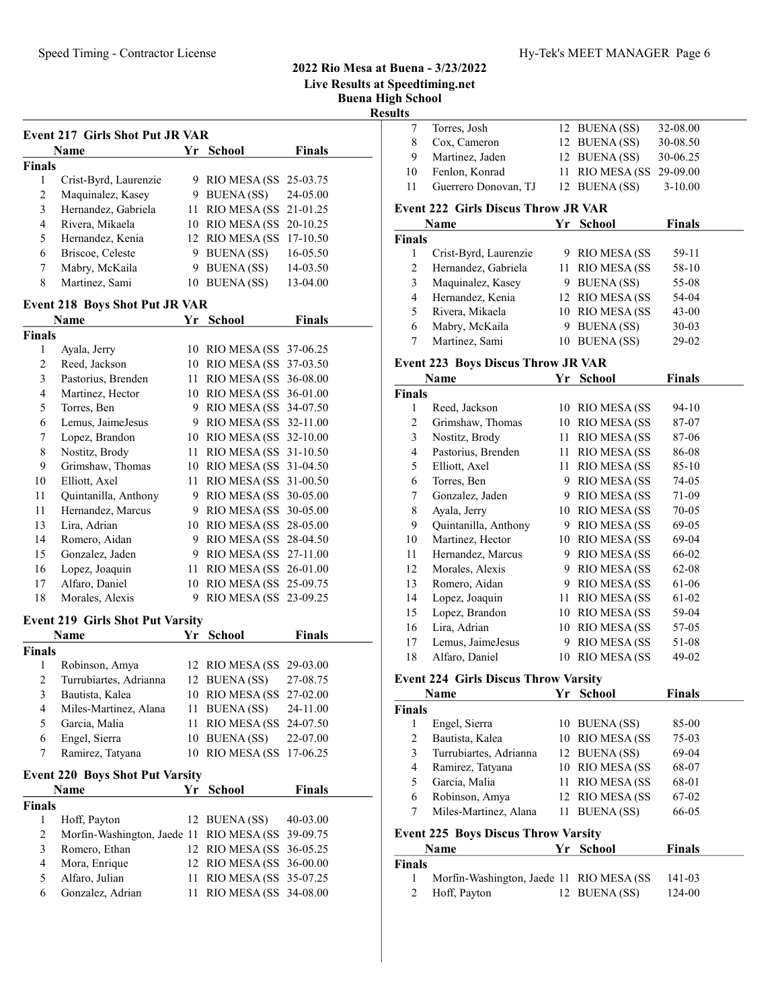## 2022 Rio Mesa at Buena - 3/23/2022 Live Results at Speedtiming.net Buena High School

Results

| <b>Event 217 Girls Shot Put JR VAR</b> |                       |    |                          |               |  |  |  |  |
|----------------------------------------|-----------------------|----|--------------------------|---------------|--|--|--|--|
| Name                                   |                       |    | <b>School</b><br>Yr      | <b>Finals</b> |  |  |  |  |
| <b>Finals</b>                          |                       |    |                          |               |  |  |  |  |
|                                        | Crist-Byrd, Laurenzie |    | 9 RIO MESA (SS 25-03.75  |               |  |  |  |  |
| 2                                      | Maquinalez, Kasey     | 9. | <b>BUENA</b> (SS)        | 24-05.00      |  |  |  |  |
| 3                                      | Hernandez, Gabriela   |    | 11 RIO MESA (SS 21-01.25 |               |  |  |  |  |
| 4                                      | Rivera, Mikaela       |    | 10 RIO MESA (SS 20-10.25 |               |  |  |  |  |
| 5                                      | Hernandez, Kenia      |    | 12 RIO MESA (SS 17-10.50 |               |  |  |  |  |
| 6                                      | Briscoe, Celeste      | 9. | <b>BUENA</b> (SS)        | 16-05.50      |  |  |  |  |
| 7                                      | Mabry, McKaila        | 9  | <b>BUENA</b> (SS)        | 14-03.50      |  |  |  |  |
| 8                                      | Martinez, Sami        | 10 | <b>BUENA</b> (SS)        | 13-04.00      |  |  |  |  |

## Event 218 Boys Shot Put JR VAR

|               | Name                 | Yr | <b>School</b>        | Finals   |
|---------------|----------------------|----|----------------------|----------|
| <b>Finals</b> |                      |    |                      |          |
| 1             | Ayala, Jerry         | 10 | <b>RIO MESA (SS)</b> | 37-06.25 |
| 2             | Reed, Jackson        | 10 | <b>RIO MESA (SS</b>  | 37-03.50 |
| 3             | Pastorius, Brenden   | 11 | RIO MESA (SS         | 36-08.00 |
| 4             | Martinez, Hector     | 10 | RIO MESA (SS         | 36-01.00 |
| 5             | Torres, Ben          | 9  | RIO MESA (SS         | 34-07.50 |
| 6             | Lemus, JaimeJesus    | 9  | RIO MESA (SS         | 32-11.00 |
| 7             | Lopez, Brandon       | 10 | RIO MESA (SS         | 32-10.00 |
| 8             | Nostitz, Brody       | 11 | RIO MESA (SS         | 31-10.50 |
| 9             | Grimshaw, Thomas     | 10 | RIO MESA (SS         | 31-04.50 |
| 10            | Elliott, Axel        | 11 | <b>RIO MESA (SS)</b> | 31-00.50 |
| 11            | Quintanilla, Anthony | 9  | RIO MESA (SS         | 30-05.00 |
| 11            | Hernandez, Marcus    | 9  | <b>RIO MESA (SS)</b> | 30-05.00 |
| 13            | Lira, Adrian         | 10 | RIO MESA (SS         | 28-05.00 |
| 14            | Romero, Aidan        | 9  | <b>RIO MESA (SS)</b> | 28-04.50 |
| 15            | Gonzalez, Jaden      | 9  | RIO MESA (SS         | 27-11.00 |
| 16            | Lopez, Joaquin       | 11 | RIO MESA (SS         | 26-01.00 |
| 17            | Alfaro, Daniel       | 10 | RIO MESA (SS         | 25-09.75 |
| 18            | Morales, Alexis      | 9  | RIO MESA (SS         | 23-09.25 |

#### Event 219 Girls Shot Put Varsity

|        | $\mathbf{L}$ vent $\mathbf{L}$ $\mathbf{L}$ on $\mathbf{L}$ shot i at various |    |                          |          |  |  |  |  |
|--------|-------------------------------------------------------------------------------|----|--------------------------|----------|--|--|--|--|
|        | Name                                                                          | Yr | <b>School</b>            | Finals   |  |  |  |  |
| Finals |                                                                               |    |                          |          |  |  |  |  |
| 1      | Robinson, Amya                                                                |    | 12 RIO MESA (SS 29-03.00 |          |  |  |  |  |
| 2      | Turrubiartes, Adrianna                                                        |    | 12 BUENA (SS)            | 27-08.75 |  |  |  |  |
| 3      | Bautista, Kalea                                                               |    | 10 RIO MESA (SS 27-02.00 |          |  |  |  |  |
| 4      | Miles-Martinez, Alana                                                         | 11 | <b>BUENA</b> (SS)        | 24-11.00 |  |  |  |  |
| 5      | Garcia, Malia                                                                 | 11 | RIO MESA (SS 24-07.50    |          |  |  |  |  |
| 6      | Engel, Sierra                                                                 |    | 10 BUENA (SS)            | 22-07.00 |  |  |  |  |
| 7      | Ramirez, Tatyana                                                              |    | 10 RIO MESA (SS)         | 17-06.25 |  |  |  |  |
|        | <b>Event 220 Boys Shot Put Varsity</b>                                        |    |                          |          |  |  |  |  |
|        | <b>Name</b>                                                                   | Yr | <b>School</b>            | Finals   |  |  |  |  |
| Finals |                                                                               |    |                          |          |  |  |  |  |
|        | Hoff, Payton                                                                  |    | 12 BUENA (SS)            | 40-03.00 |  |  |  |  |

| Morfin-Washington, Jaede 11 RIO MESA (SS 39-09.75<br>2<br>12 RIO MESA (SS 36-05.25<br>Romero, Ethan<br>3<br>12 RIO MESA (SS 36-00.00<br>Mora, Enrique<br>4<br>11 RIO MESA (SS 35-07.25<br>Alfaro, Julian<br>5.<br>11 RIO MESA (SS 34-08.00<br>Gonzalez, Adrian<br>6. | $12$ BUENA(SS) $40-03.00$ |
|----------------------------------------------------------------------------------------------------------------------------------------------------------------------------------------------------------------------------------------------------------------------|---------------------------|
|                                                                                                                                                                                                                                                                      |                           |
|                                                                                                                                                                                                                                                                      |                           |
|                                                                                                                                                                                                                                                                      |                           |
|                                                                                                                                                                                                                                                                      |                           |
|                                                                                                                                                                                                                                                                      |                           |

| 7                                          | Torres, Josh          |    | 12 BUENA (SS)       | 32-08.00      |  |  |  |  |
|--------------------------------------------|-----------------------|----|---------------------|---------------|--|--|--|--|
| 8                                          | Cox, Cameron          |    | 12 BUENA (SS)       | 30-08.50      |  |  |  |  |
| 9                                          | Martinez, Jaden       |    | 12 BUENA (SS)       | 30-06.25      |  |  |  |  |
| 10                                         | Fenlon, Konrad        | 11 | <b>RIO MESA (SS</b> | 29-09.00      |  |  |  |  |
| 11                                         | Guerrero Donovan, TJ  |    | 12 BUENA (SS)       | $3 - 10.00$   |  |  |  |  |
| <b>Event 222 Girls Discus Throw JR VAR</b> |                       |    |                     |               |  |  |  |  |
|                                            | Name                  | Yr | School              | <b>Finals</b> |  |  |  |  |
|                                            |                       |    |                     |               |  |  |  |  |
| <b>Finals</b>                              |                       |    |                     |               |  |  |  |  |
| 1                                          | Crist-Byrd, Laurenzie | 9  | <b>RIO MESA (SS</b> | $59-11$       |  |  |  |  |
| 2                                          | Hernandez, Gabriela   | 11 | <b>RIO MESA (SS</b> | 58-10         |  |  |  |  |
| 3                                          | Maquinalez, Kasey     | 9  | <b>BUENA</b> (SS)   | 55-08         |  |  |  |  |
| 4                                          | Hernandez, Kenia      |    | 12 RIO MESA (SS     | 54-04         |  |  |  |  |
| 5                                          | Rivera, Mikaela       | 10 | <b>RIO MESA (SS</b> | $43 - 00$     |  |  |  |  |
| 6                                          | Mabry, McKaila        | 9  | BUENA (SS)          | $30 - 03$     |  |  |  |  |

#### Event 223 Boys Discus Throw JR VAR

|                | Name                 | Yr | <b>School</b>       | Finals    |  |
|----------------|----------------------|----|---------------------|-----------|--|
| Finals         |                      |    |                     |           |  |
| 1              | Reed, Jackson        |    | 10 RIO MESA (SS     | 94-10     |  |
| 2              | Grimshaw, Thomas     | 10 | RIO MESA (SS        | 87-07     |  |
| 3              | Nostitz, Brody       | 11 | RIO MESA (SS        | 87-06     |  |
| $\overline{4}$ | Pastorius, Brenden   | 11 | RIO MESA (SS        | 86-08     |  |
| 5              | Elliott, Axel        | 11 | RIO MESA (SS        | $85 - 10$ |  |
| 6              | Torres, Ben          | 9  | RIO MESA (SS        | 74-05     |  |
| 7              | Gonzalez, Jaden      | 9  | <b>RIO MESA (SS</b> | 71-09     |  |
| 8              | Ayala, Jerry         | 10 | RIO MESA (SS        | 70-05     |  |
| 9              | Quintanilla, Anthony | 9  | RIO MESA (SS        | 69-05     |  |
| 10             | Martinez, Hector     | 10 | RIO MESA (SS        | 69-04     |  |
| 11             | Hernandez, Marcus    | 9  | RIO MESA (SS        | 66-02     |  |
| 12             | Morales, Alexis      | 9  | RIO MESA (SS        | 62-08     |  |
| 13             | Romero, Aidan        | 9  | RIO MESA (SS        | 61-06     |  |
| 14             | Lopez, Joaquin       | 11 | RIO MESA (SS        | 61-02     |  |
| 15             | Lopez, Brandon       | 10 | RIO MESA (SS        | 59-04     |  |
| 16             | Lira, Adrian         | 10 | RIO MESA (SS        | 57-05     |  |
| 17             | Lemus, JaimeJesus    | 9  | RIO MESA (SS        | 51-08     |  |
| 18             | Alfaro, Daniel       | 10 | <b>RIO MESA (SS</b> | 49-02     |  |

#### Event 224 Girls Discus Throw Varsity

| Name                                       |                        | Yr | School          | <b>Finals</b> |  |  |
|--------------------------------------------|------------------------|----|-----------------|---------------|--|--|
| <b>Finals</b>                              |                        |    |                 |               |  |  |
|                                            | Engel, Sierra          |    | 10 BUENA (SS)   | 85-00         |  |  |
| 2                                          | Bautista, Kalea        |    | 10 RIO MESA (SS | $75-03$       |  |  |
| 3                                          | Turrubiartes, Adrianna |    | 12 BUENA (SS)   | 69-04         |  |  |
| 4                                          | Ramirez, Tatyana       |    | 10 RIO MESA (SS | 68-07         |  |  |
| 5                                          | Garcia, Malia          |    | 11 RIO MESA (SS | 68-01         |  |  |
| 6                                          | Robinson, Amya         |    | 12 RIO MESA (SS | 67-02         |  |  |
| 7                                          | Miles-Martinez, Alana  |    | 11 BUENA (SS)   | 66-05         |  |  |
| <b>Event 225 Boys Discus Throw Varsity</b> |                        |    |                 |               |  |  |

|        | <b>Name</b>                               | Yr School     | <b>Finals</b> |
|--------|-------------------------------------------|---------------|---------------|
| Finals |                                           |               |               |
|        | Morfin-Washington, Jaede 11 RIO MESA (SS) |               | 141-03        |
|        | 2 Hoff, Payton                            | 12 BUENA (SS) | 124-00        |